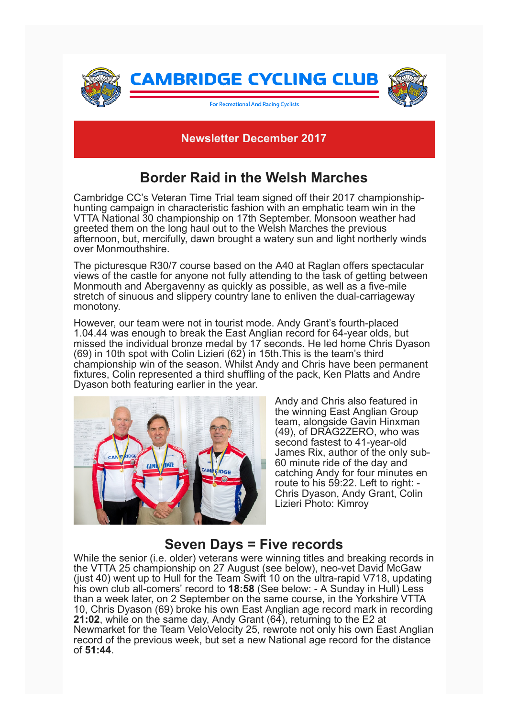

#### **Newsletter December 2017**

## **Border Raid in the Welsh Marches**

Cambridge CC's Veteran Time Trial team signed off their 2017 championshiphunting campaign in characteristic fashion with an emphatic team win in the VTTA National 30 championship on 17th September. Monsoon weather had greeted them on the long haul out to the Welsh Marches the previous afternoon, but, mercifully, dawn brought a watery sun and light northerly winds over Monmouthshire.

The picturesque R30/7 course based on the A40 at Raglan offers spectacular views of the castle for anyone not fully attending to the task of getting between Monmouth and Abergavenny as quickly as possible, as well as a five-mile stretch of sinuous and slippery country lane to enliven the dual-carriageway monotony.

However, our team were not in tourist mode. Andy Grant's fourth-placed 1.04.44 was enough to break the East Anglian record for 64-year olds, but missed the individual bronze medal by 17 seconds. He led home Chris Dyason (69) in 10th spot with Colin Lizieri (62) in 15th.This is the team's third championship win of the season. Whilst Andy and Chris have been permanent fixtures, Colin represented a third shuffling of the pack, Ken Platts and Andre Dyason both featuring earlier in the year.



Andy and Chris also featured in the winning East Anglian Group team, alongside Gavin Hinxman (49), of DRAG2ZERO, who was second fastest to 41-year-old James Rix, author of the only sub-60 minute ride of the day and catching Andy for four minutes en route to his 59:22. Left to right: - Chris Dyason, Andy Grant, Colin Lizieri Photo: Kimroy

### **Seven Days = Five records**

While the senior (i.e. older) veterans were winning titles and breaking records in the VTTA 25 championship on 27 August (see below), neo-vet David McGaw (just 40) went up to Hull for the Team Swift 10 on the ultra-rapid V718, updating his own club all-comers' record to **18:58** (See below: - A Sunday in Hull) Less than a week later, on 2 September on the same course, in the Yorkshire VTTA 10, Chris Dyason (69) broke his own East Anglian age record mark in recording **21:02**, while on the same day, Andy Grant (64), returning to the E2 at Newmarket for the Team VeloVelocity 25, rewrote not only his own East Anglian record of the previous week, but set a new National age record for the distance of **51:44**.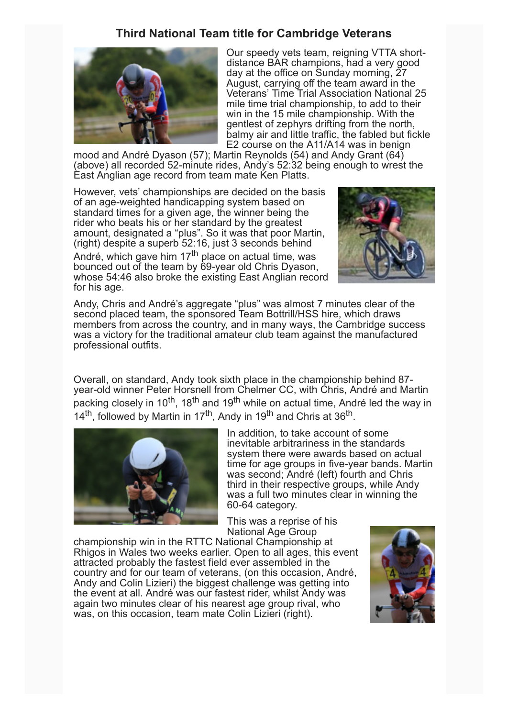#### **Third National Team title for Cambridge Veterans**



Our speedy vets team, reigning VTTA shortdistance BAR champions, had a very good day at the office on Sunday morning, 27 August, carrying off the team award in the Veterans' Time Trial Association National 25 mile time trial championship, to add to their win in the 15 mile championship. With the gentlest of zephyrs drifting from the north, balmy air and little traffic, the fabled but fickle E2 course on the A11/A14 was in benign

mood and André Dyason (57); Martin Reynolds (54) and Andy Grant (64) (above) all recorded 52-minute rides, Andy's 52:32 being enough to wrest the East Anglian age record from team mate Ken Platts.

However, vets' championships are decided on the basis of an age-weighted handicapping system based on standard times for a given age, the winner being the rider who beats his or her standard by the greatest amount, designated a "plus". So it was that poor Martin, (right) despite a superb 52:16, just 3 seconds behind

André, which gave him 17<sup>th</sup> place on actual time, was bounced out of the team by 69-year old Chris Dyason, whose 54:46 also broke the existing East Anglian record for his age.



Andy, Chris and André's aggregate "plus" was almost 7 minutes clear of the second placed team, the sponsored Team Bottrill/HSS hire, which draws members from across the country, and in many ways, the Cambridge success was a victory for the traditional amateur club team against the manufactured professional outfits.

Overall, on standard, Andy took sixth place in the championship behind 87 year-old winner Peter Horsnell from Chelmer CC, with Chris, André and Martin packing closely in 10<sup>th</sup>, 18<sup>th</sup> and 19<sup>th</sup> while on actual time, André led the way in 14<sup>th</sup>, followed by Martin in 17<sup>th</sup>, Andy in 19<sup>th</sup> and Chris at 36<sup>th</sup>.



In addition, to take account of some inevitable arbitrariness in the standards system there were awards based on actual time for age groups in five-year bands. Martin was second; André (left) fourth and Chris third in their respective groups, while Andy was a full two minutes clear in winning the 60-64 category.

This was a reprise of his National Age Group

championship win in the RTTC National Championship at Rhigos in Wales two weeks earlier. Open to all ages, this event attracted probably the fastest field ever assembled in the country and for our team of veterans, (on this occasion, André, Andy and Colin Lizieri) the biggest challenge was getting into the event at all. André was our fastest rider, whilst Andy was again two minutes clear of his nearest age group rival, who was, on this occasion, team mate Colin Lizieri (right).

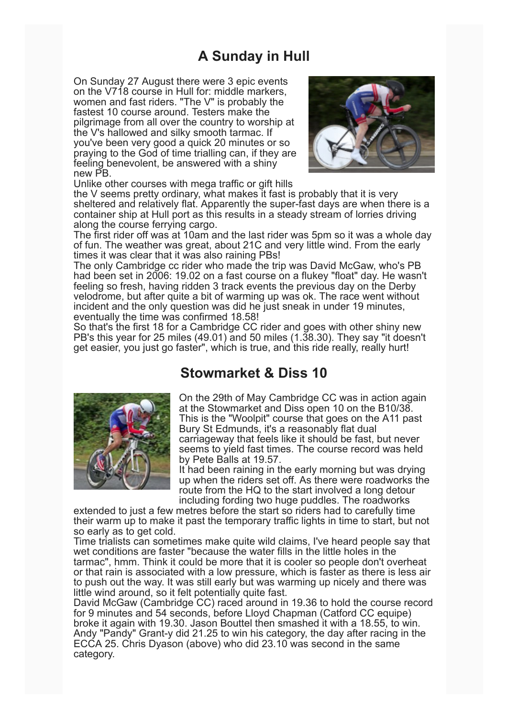## **A Sunday in Hull**

On Sunday 27 August there were 3 epic events on the V718 course in Hull for: middle markers, women and fast riders. "The V" is probably the fastest 10 course around. Testers make the pilgrimage from all over the country to worship at the V's hallowed and silky smooth tarmac. If you've been very good a quick 20 minutes or so praying to the God of time trialling can, if they are feeling benevolent, be answered with a shiny new PB.





the V seems pretty ordinary, what makes it fast is probably that it is very sheltered and relatively flat. Apparently the super-fast days are when there is a container ship at Hull port as this results in a steady stream of lorries driving along the course ferrying cargo.

The first rider off was at 10am and the last rider was 5pm so it was a whole day of fun. The weather was great, about 21C and very little wind. From the early times it was clear that it was also raining PBs!

The only Cambridge cc rider who made the trip was David McGaw, who's PB had been set in 2006: 19.02 on a fast course on a flukey "float" day. He wasn't feeling so fresh, having ridden 3 track events the previous day on the Derby velodrome, but after quite a bit of warming up was ok. The race went without incident and the only question was did he just sneak in under 19 minutes, eventually the time was confirmed 18.58!

So that's the first 18 for a Cambridge CC rider and goes with other shiny new PB's this year for 25 miles (49.01) and 50 miles (1.38.30). They say "it doesn't get easier, you just go faster", which is true, and this ride really, really hurt!

### **Stowmarket & Diss 10**



On the 29th of May Cambridge CC was in action again at the Stowmarket and Diss open 10 on the B10/38. This is the "Woolpit" course that goes on the A11 past Bury St Edmunds, it's a reasonably flat dual carriageway that feels like it should be fast, but never seems to yield fast times. The course record was held by Pete Balls at 19.57.

It had been raining in the early morning but was drying up when the riders set off. As there were roadworks the route from the HQ to the start involved a long detour including fording two huge puddles. The roadworks

extended to just a few metres before the start so riders had to carefully time their warm up to make it past the temporary traffic lights in time to start, but not so early as to get cold.

Time trialists can sometimes make quite wild claims, I've heard people say that wet conditions are faster "because the water fills in the little holes in the tarmac", hmm. Think it could be more that it is cooler so people don't overheat or that rain is associated with a low pressure, which is faster as there is less air to push out the way. It was still early but was warming up nicely and there was little wind around, so it felt potentially quite fast.

David McGaw (Cambridge CC) raced around in 19.36 to hold the course record for 9 minutes and 54 seconds, before Lloyd Chapman (Catford CC equipe) broke it again with 19.30. Jason Bouttel then smashed it with a 18.55, to win. Andy "Pandy" Grant-y did 21.25 to win his category, the day after racing in the ECCA 25. Chris Dyason (above) who did 23.10 was second in the same category.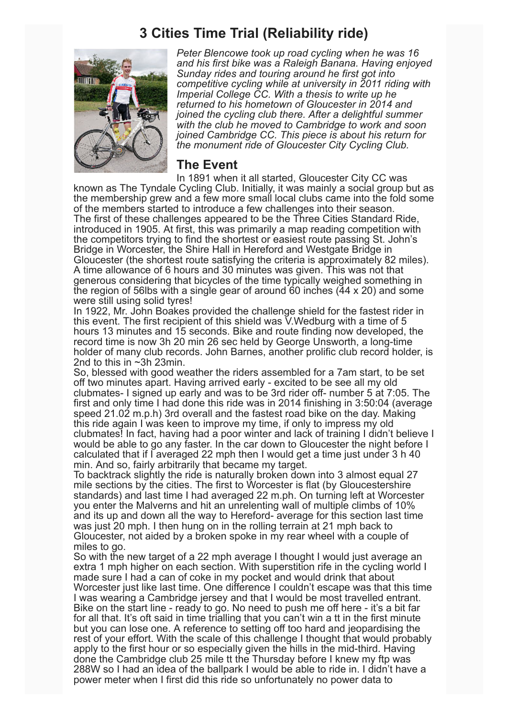### **3 Cities Time Trial (Reliability ride)**



*Peter Blencowe took up road cycling when he was 16 and his first bike was a Raleigh Banana. Having enjoyed Sunday rides and touring around he first got into competitive cycling while at university in 2011 riding with Imperial College CC. With a thesis to write up he returned to his hometown of Gloucester in 2014 and joined the cycling club there. After a delightful summer with the club he moved to Cambridge to work and soon joined Cambridge CC. This piece is about his return for the monument ride of Gloucester City Cycling Club.*

#### **The Event**

In 1891 when it all started, Gloucester City CC was known as The Tyndale Cycling Club. Initially, it was mainly a social group but as the membership grew and a few more small local clubs came into the fold some of the members started to introduce a few challenges into their season. The first of these challenges appeared to be the Three Cities Standard Ride, introduced in 1905. At first, this was primarily a map reading competition with the competitors trying to find the shortest or easiest route passing St. John's Bridge in Worcester, the Shire Hall in Hereford and Westgate Bridge in Gloucester (the shortest route satisfying the criteria is approximately 82 miles). A time allowance of 6 hours and 30 minutes was given. This was not that generous considering that bicycles of the time typically weighed something in the region of 56lbs with a single gear of around 60 inches (44 x 20) and some were still using solid tyres!

In 1922, Mr. John Boakes provided the challenge shield for the fastest rider in this event. The first recipient of this shield was V.Wedburg with a time of 5 hours 13 minutes and 15 seconds. Bike and route finding now developed, the record time is now 3h 20 min 26 sec held by George Unsworth, a long-time holder of many club records. John Barnes, another prolific club record holder, is 2nd to this in ~3h 23min.

So, blessed with good weather the riders assembled for a 7am start, to be set off two minutes apart. Having arrived early - excited to be see all my old clubmates- I signed up early and was to be 3rd rider off- number 5 at 7:05. The first and only time I had done this ride was in 2014 finishing in 3:50:04 (average speed 21.02 m.p.h) 3rd overall and the fastest road bike on the day. Making this ride again I was keen to improve my time, if only to impress my old clubmates! In fact, having had a poor winter and lack of training I didn't believe I would be able to go any faster. In the car down to Gloucester the night before I calculated that if I averaged 22 mph then I would get a time just under 3 h 40 min. And so, fairly arbitrarily that became my target.

To backtrack slightly the ride is naturally broken down into 3 almost equal 27 mile sections by the cities. The first to Worcester is flat (by Gloucestershire standards) and last time I had averaged 22 m.ph. On turning left at Worcester you enter the Malverns and hit an unrelenting wall of multiple climbs of 10% and its up and down all the way to Hereford- average for this section last time was just 20 mph. I then hung on in the rolling terrain at 21 mph back to Gloucester, not aided by a broken spoke in my rear wheel with a couple of miles to go.

So with the new target of a 22 mph average I thought I would just average an extra 1 mph higher on each section. With superstition rife in the cycling world I made sure I had a can of coke in my pocket and would drink that about Worcester just like last time. One difference I couldn't escape was that this time I was wearing a Cambridge jersey and that I would be most travelled entrant. Bike on the start line - ready to go. No need to push me off here - it's a bit far for all that. It's oft said in time trialling that you can't win a tt in the first minute but you can lose one. A reference to setting off too hard and jeopardising the rest of your effort. With the scale of this challenge I thought that would probably apply to the first hour or so especially given the hills in the mid-third. Having done the Cambridge club 25 mile tt the Thursday before I knew my ftp was 288W so I had an idea of the ballpark I would be able to ride in. I didn't have a power meter when I first did this ride so unfortunately no power data to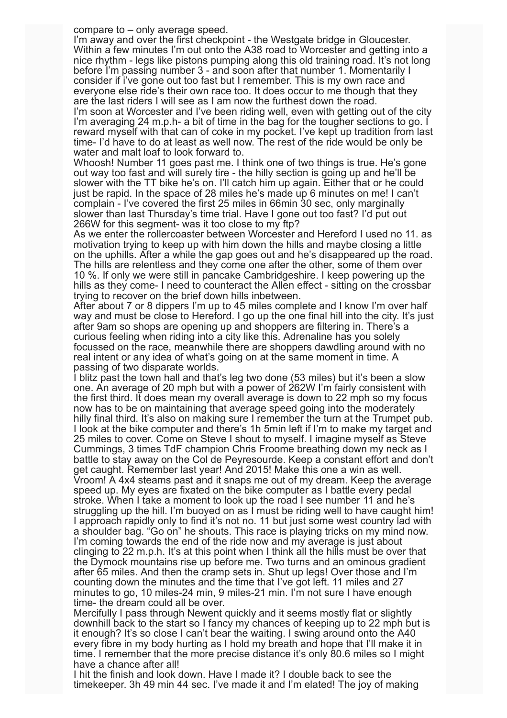compare to – only average speed.

I'm away and over the first checkpoint - the Westgate bridge in Gloucester. Within a few minutes I'm out onto the A38 road to Worcester and getting into a nice rhythm - legs like pistons pumping along this old training road. It's not long before I'm passing number 3 - and soon after that number 1. Momentarily I consider if i've gone out too fast but I remember. This is my own race and everyone else ride's their own race too. It does occur to me though that they are the last riders I will see as I am now the furthest down the road.

I'm soon at Worcester and I've been riding well, even with getting out of the city I'm averaging 24 m.p.h- a bit of time in the bag for the tougher sections to go. I reward myself with that can of coke in my pocket. I've kept up tradition from last time- I'd have to do at least as well now. The rest of the ride would be only be water and malt loaf to look forward to.

Whoosh! Number 11 goes past me. I think one of two things is true. He's gone out way too fast and will surely tire - the hilly section is going up and he'll be slower with the TT bike he's on. I'll catch him up again. Either that or he could just be rapid. In the space of 28 miles he's made up 6 minutes on me! I can't complain - I've covered the first 25 miles in 66min 30 sec, only marginally slower than last Thursday's time trial. Have I gone out too fast? I'd put out 266W for this segment- was it too close to my ftp?

As we enter the rollercoaster between Worcester and Hereford I used no 11. as motivation trying to keep up with him down the hills and maybe closing a little on the uphills. After a while the gap goes out and he's disappeared up the road. The hills are relentless and they come one after the other, some of them over 10 %. If only we were still in pancake Cambridgeshire. I keep powering up the hills as they come- I need to counteract the Allen effect - sitting on the crossbar trying to recover on the brief down hills inbetween.

After about 7 or 8 dippers I'm up to 45 miles complete and I know I'm over half way and must be close to Hereford. I go up the one final hill into the city. It's just after 9am so shops are opening up and shoppers are filtering in. There's a curious feeling when riding into a city like this. Adrenaline has you solely focussed on the race, meanwhile there are shoppers dawdling around with no real intent or any idea of what's going on at the same moment in time. A passing of two disparate worlds.

I blitz past the town hall and that's leg two done (53 miles) but it's been a slow one. An average of 20 mph but with a power of 262W I'm fairly consistent with the first third. It does mean my overall average is down to 22 mph so my focus now has to be on maintaining that average speed going into the moderately hilly final third. It's also on making sure I remember the turn at the Trumpet pub. I look at the bike computer and there's 1h 5min left if I'm to make my target and 25 miles to cover. Come on Steve I shout to myself. I imagine myself as Steve Cummings, 3 times TdF champion Chris Froome breathing down my neck as I battle to stay away on the Col de Peyresourde. Keep a constant effort and don't get caught. Remember last year! And 2015! Make this one a win as well. Vroom! A 4x4 steams past and it snaps me out of my dream. Keep the average speed up. My eyes are fixated on the bike computer as I battle every pedal stroke. When I take a moment to look up the road I see number 11 and he's struggling up the hill. I'm buoyed on as I must be riding well to have caught him! I approach rapidly only to find it's not no. 11 but just some west country lad with a shoulder bag. "Go on" he shouts. This race is playing tricks on my mind now. I'm coming towards the end of the ride now and my average is just about clinging to 22 m.p.h. It's at this point when I think all the hills must be over that the Dymock mountains rise up before me. Two turns and an ominous gradient after 65 miles. And then the cramp sets in. Shut up legs! Over those and I'm counting down the minutes and the time that I've got left. 11 miles and 27 minutes to go, 10 miles-24 min, 9 miles-21 min. I'm not sure I have enough time- the dream could all be over.

Mercifully I pass through Newent quickly and it seems mostly flat or slightly downhill back to the start so I fancy my chances of keeping up to 22 mph but is it enough? It's so close I can't bear the waiting. I swing around onto the A40 every fibre in my body hurting as I hold my breath and hope that I'll make it in time. I remember that the more precise distance it's only 80.6 miles so I might have a chance after all!

I hit the finish and look down. Have I made it? I double back to see the timekeeper. 3h 49 min 44 sec. I've made it and I'm elated! The joy of making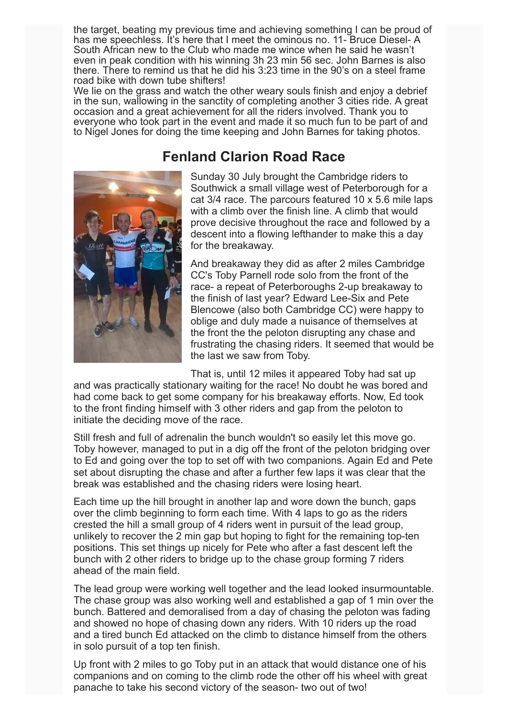the target, beating my previous time and achieving something I can be proud of has me speechless. It's here that I meet the ominous no. 11- Bruce Diesel- A South African new to the Club who made me wince when he said he wasn't even in peak condition with his winning 3h 23 min 56 sec. John Barnes is also there. There to remind us that he did his 3:23 time in the 90's on a steel frame road bike with down tube shifters!

We lie on the grass and watch the other weary souls finish and enjoy a debrief in the sun, wallowing in the sanctity of completing another 3 cities ride. A great occasion and a great achievement for all the riders involved. Thank you to everyone who took part in the event and made it so much fun to be part of and to Nigel Jones for doing the time keeping and John Barnes for taking photos.

### **Fenland Clarion Road Race**



Sunday 30 July brought the Cambridge riders to Southwick a small village west of Peterborough for a cat 3/4 race. The parcours featured 10 x 5.6 mile laps with a climb over the finish line. A climb that would prove decisive throughout the race and followed by a descent into a flowing lefthander to make this a day for the breakaway.

And breakaway they did as after 2 miles Cambridge CC's Toby Parnell rode solo from the front of the race- a repeat of Peterboroughs 2-up breakaway to the finish of last year? Edward Lee-Six and Pete Blencowe (also both Cambridge CC) were happy to oblige and duly made a nuisance of themselves at the front the the peloton disrupting any chase and frustrating the chasing riders. It seemed that would be the last we saw from Toby.

That is, until 12 miles it appeared Toby had sat up

and was practically stationary waiting for the race! No doubt he was bored and had come back to get some company for his breakaway efforts. Now, Ed took to the front finding himself with 3 other riders and gap from the peloton to initiate the deciding move of the race.

Still fresh and full of adrenalin the bunch wouldn't so easily let this move go. Toby however, managed to put in a dig off the front of the peloton bridging over to Ed and going over the top to set off with two companions. Again Ed and Pete set about disrupting the chase and after a further few laps it was clear that the break was established and the chasing riders were losing heart.

Each time up the hill brought in another lap and wore down the bunch, gaps over the climb beginning to form each time. With 4 laps to go as the riders crested the hill a small group of 4 riders went in pursuit of the lead group, unlikely to recover the 2 min gap but hoping to fight for the remaining top-ten positions. This set things up nicely for Pete who after a fast descent left the bunch with 2 other riders to bridge up to the chase group forming 7 riders ahead of the main field.

The lead group were working well together and the lead looked insurmountable. The chase group was also working well and established a gap of 1 min over the bunch. Battered and demoralised from a day of chasing the peloton was fading and showed no hope of chasing down any riders. With 10 riders up the road and a tired bunch Ed attacked on the climb to distance himself from the others in solo pursuit of a top ten finish.

Up front with 2 miles to go Toby put in an attack that would distance one of his companions and on coming to the climb rode the other off his wheel with great panache to take his second victory of the season- two out of two!